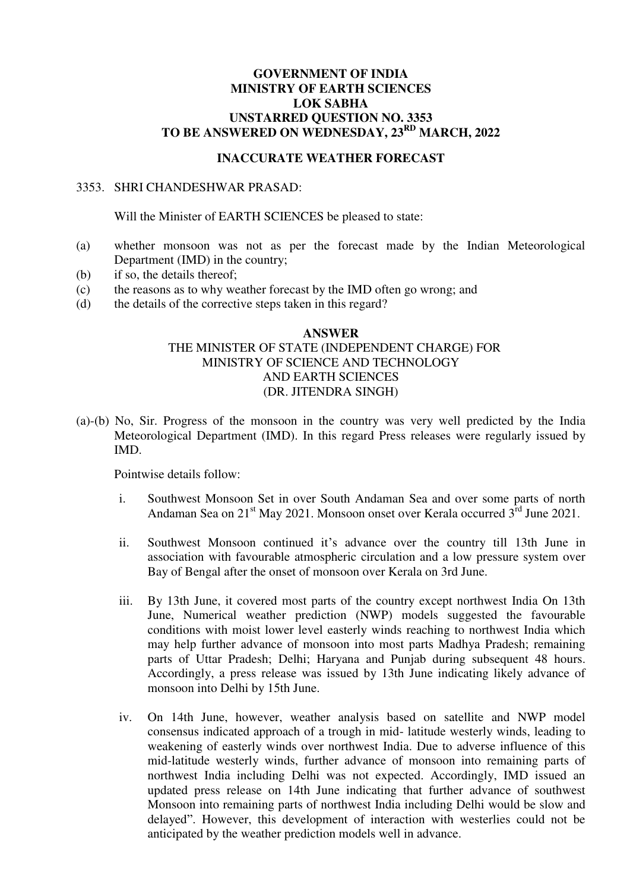# **GOVERNMENT OF INDIA MINISTRY OF EARTH SCIENCES LOK SABHA UNSTARRED QUESTION NO. 3353 TO BE ANSWERED ON WEDNESDAY, 23RD MARCH, 2022**

### **INACCURATE WEATHER FORECAST**

#### 3353. SHRI CHANDESHWAR PRASAD:

Will the Minister of EARTH SCIENCES be pleased to state:

- (a) whether monsoon was not as per the forecast made by the Indian Meteorological Department (IMD) in the country;
- (b) if so, the details thereof;
- (c) the reasons as to why weather forecast by the IMD often go wrong; and
- (d) the details of the corrective steps taken in this regard?

## **ANSWER**  THE MINISTER OF STATE (INDEPENDENT CHARGE) FOR MINISTRY OF SCIENCE AND TECHNOLOGY AND EARTH SCIENCES (DR. JITENDRA SINGH)

(a)-(b) No, Sir. Progress of the monsoon in the country was very well predicted by the India Meteorological Department (IMD). In this regard Press releases were regularly issued by IMD.

Pointwise details follow:

- i. Southwest Monsoon Set in over South Andaman Sea and over some parts of north Andaman Sea on  $21<sup>st</sup>$  May 2021. Monsoon onset over Kerala occurred  $3<sup>rd</sup>$  June 2021.
- ii. Southwest Monsoon continued it's advance over the country till 13th June in association with favourable atmospheric circulation and a low pressure system over Bay of Bengal after the onset of monsoon over Kerala on 3rd June.
- iii. By 13th June, it covered most parts of the country except northwest India On 13th June, Numerical weather prediction (NWP) models suggested the favourable conditions with moist lower level easterly winds reaching to northwest India which may help further advance of monsoon into most parts Madhya Pradesh; remaining parts of Uttar Pradesh; Delhi; Haryana and Punjab during subsequent 48 hours. Accordingly, a press release was issued by 13th June indicating likely advance of monsoon into Delhi by 15th June.
- iv. On 14th June, however, weather analysis based on satellite and NWP model consensus indicated approach of a trough in mid- latitude westerly winds, leading to weakening of easterly winds over northwest India. Due to adverse influence of this mid-latitude westerly winds, further advance of monsoon into remaining parts of northwest India including Delhi was not expected. Accordingly, IMD issued an updated press release on 14th June indicating that further advance of southwest Monsoon into remaining parts of northwest India including Delhi would be slow and delayed". However, this development of interaction with westerlies could not be anticipated by the weather prediction models well in advance.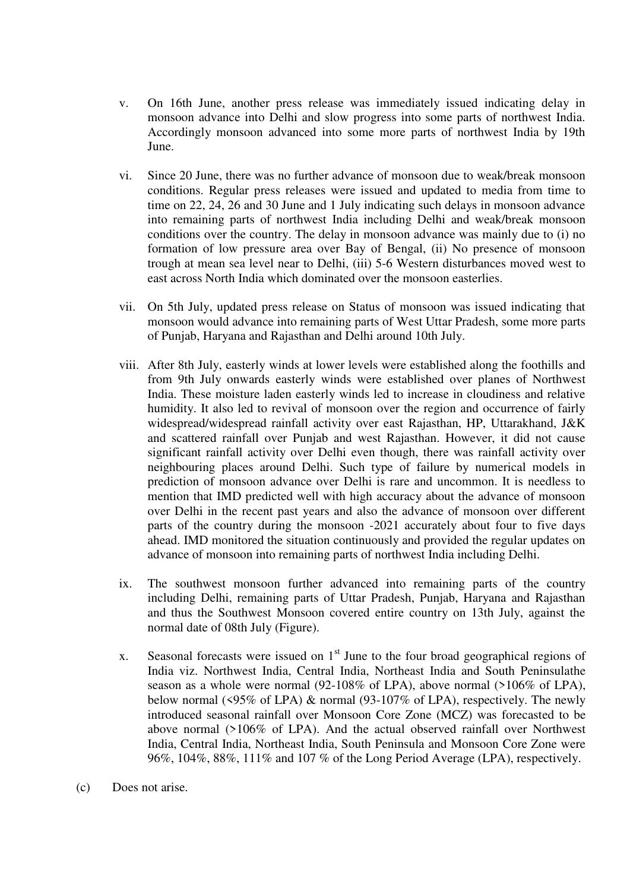- v. On 16th June, another press release was immediately issued indicating delay in monsoon advance into Delhi and slow progress into some parts of northwest India. Accordingly monsoon advanced into some more parts of northwest India by 19th June.
- vi. Since 20 June, there was no further advance of monsoon due to weak/break monsoon conditions. Regular press releases were issued and updated to media from time to time on 22, 24, 26 and 30 June and 1 July indicating such delays in monsoon advance into remaining parts of northwest India including Delhi and weak/break monsoon conditions over the country. The delay in monsoon advance was mainly due to (i) no formation of low pressure area over Bay of Bengal, (ii) No presence of monsoon trough at mean sea level near to Delhi, (iii) 5-6 Western disturbances moved west to east across North India which dominated over the monsoon easterlies.
- vii. On 5th July, updated press release on Status of monsoon was issued indicating that monsoon would advance into remaining parts of West Uttar Pradesh, some more parts of Punjab, Haryana and Rajasthan and Delhi around 10th July.
- viii. After 8th July, easterly winds at lower levels were established along the foothills and from 9th July onwards easterly winds were established over planes of Northwest India. These moisture laden easterly winds led to increase in cloudiness and relative humidity. It also led to revival of monsoon over the region and occurrence of fairly widespread/widespread rainfall activity over east Rajasthan, HP, Uttarakhand, J&K and scattered rainfall over Punjab and west Rajasthan. However, it did not cause significant rainfall activity over Delhi even though, there was rainfall activity over neighbouring places around Delhi. Such type of failure by numerical models in prediction of monsoon advance over Delhi is rare and uncommon. It is needless to mention that IMD predicted well with high accuracy about the advance of monsoon over Delhi in the recent past years and also the advance of monsoon over different parts of the country during the monsoon -2021 accurately about four to five days ahead. IMD monitored the situation continuously and provided the regular updates on advance of monsoon into remaining parts of northwest India including Delhi.
- ix. The southwest monsoon further advanced into remaining parts of the country including Delhi, remaining parts of Uttar Pradesh, Punjab, Haryana and Rajasthan and thus the Southwest Monsoon covered entire country on 13th July, against the normal date of 08th July (Figure).
- x. Seasonal forecasts were issued on  $1<sup>st</sup>$  June to the four broad geographical regions of India viz. Northwest India, Central India, Northeast India and South Peninsulathe season as a whole were normal (92-108% of LPA), above normal (>106% of LPA), below normal (<95% of LPA) & normal (93-107% of LPA), respectively. The newly introduced seasonal rainfall over Monsoon Core Zone (MCZ) was forecasted to be above normal (>106% of LPA). And the actual observed rainfall over Northwest India, Central India, Northeast India, South Peninsula and Monsoon Core Zone were 96%, 104%, 88%, 111% and 107 % of the Long Period Average (LPA), respectively.
- (c) Does not arise.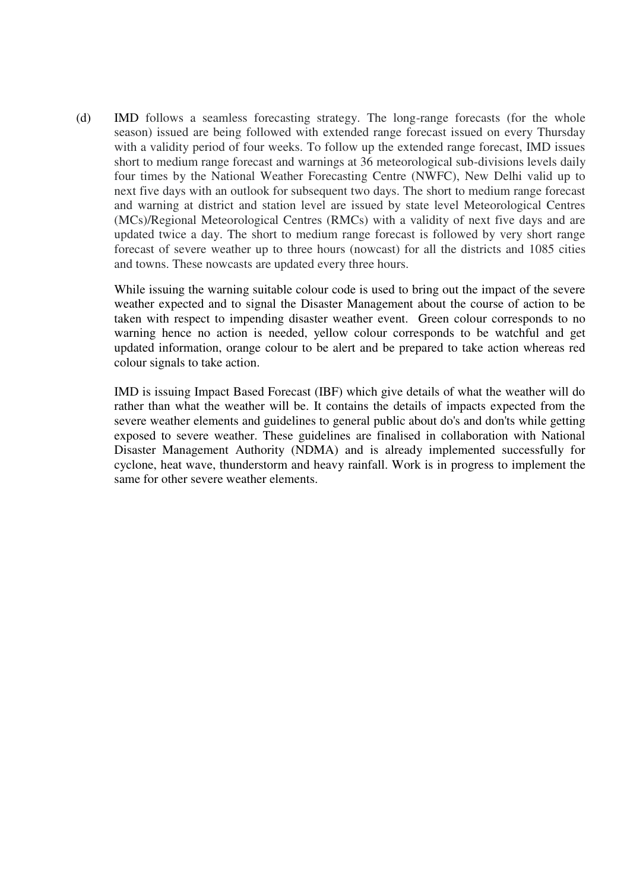(d) IMD follows a seamless forecasting strategy. The long-range forecasts (for the whole season) issued are being followed with extended range forecast issued on every Thursday with a validity period of four weeks. To follow up the extended range forecast, IMD issues short to medium range forecast and warnings at 36 meteorological sub-divisions levels daily four times by the National Weather Forecasting Centre (NWFC), New Delhi valid up to next five days with an outlook for subsequent two days. The short to medium range forecast and warning at district and station level are issued by state level Meteorological Centres (MCs)/Regional Meteorological Centres (RMCs) with a validity of next five days and are updated twice a day. The short to medium range forecast is followed by very short range forecast of severe weather up to three hours (nowcast) for all the districts and 1085 cities and towns. These nowcasts are updated every three hours.

While issuing the warning suitable colour code is used to bring out the impact of the severe weather expected and to signal the Disaster Management about the course of action to be taken with respect to impending disaster weather event. Green colour corresponds to no warning hence no action is needed, yellow colour corresponds to be watchful and get updated information, orange colour to be alert and be prepared to take action whereas red colour signals to take action.

IMD is issuing Impact Based Forecast (IBF) which give details of what the weather will do rather than what the weather will be. It contains the details of impacts expected from the severe weather elements and guidelines to general public about do's and don'ts while getting exposed to severe weather. These guidelines are finalised in collaboration with National Disaster Management Authority (NDMA) and is already implemented successfully for cyclone, heat wave, thunderstorm and heavy rainfall. Work is in progress to implement the same for other severe weather elements.